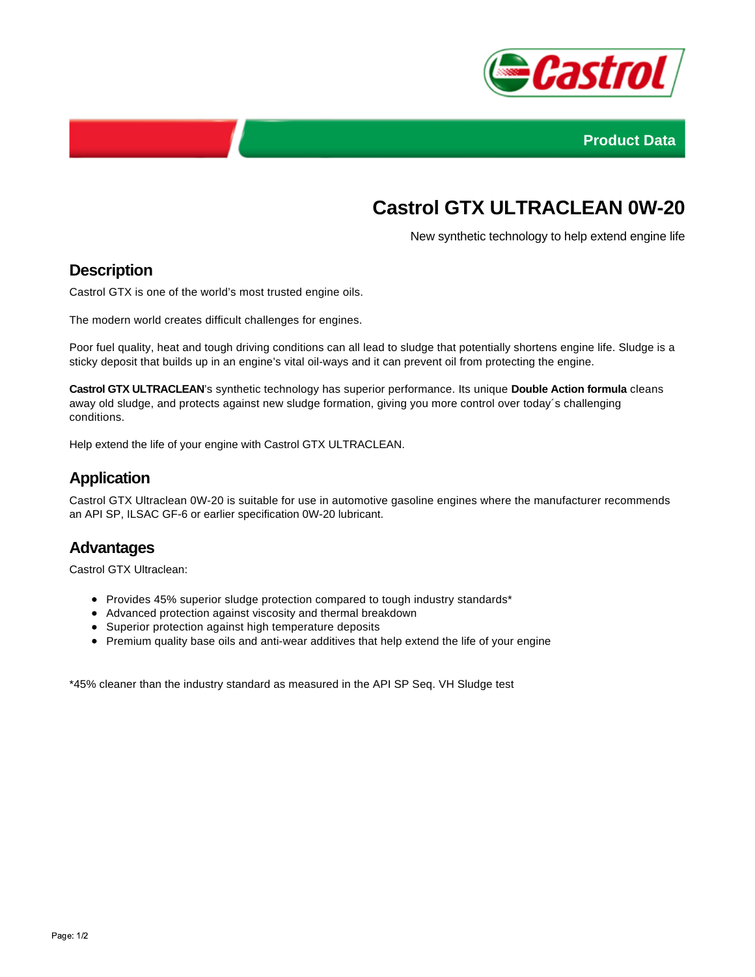



# **Castrol GTX ULTRACLEAN 0W-20**

New synthetic technology to help extend engine life

## **Description**

Castrol GTX is one of the world's most trusted engine oils.

The modern world creates difficult challenges for engines.

Poor fuel quality, heat and tough driving conditions can all lead to sludge that potentially shortens engine life. Sludge is a sticky deposit that builds up in an engine's vital oil-ways and it can prevent oil from protecting the engine.

**Castrol GTX ULTRACLEAN**'s synthetic technology has superior performance. Its unique **Double Action formula** cleans away old sludge, and protects against new sludge formation, giving you more control over today´s challenging conditions.

Help extend the life of your engine with Castrol GTX ULTRACLEAN.

## **Application**

Castrol GTX Ultraclean 0W-20 is suitable for use in automotive gasoline engines where the manufacturer recommends an API SP, ILSAC GF-6 or earlier specification 0W-20 lubricant.

#### **Advantages**

Castrol GTX Ultraclean:

- Provides 45% superior sludge protection compared to tough industry standards\*
- Advanced protection against viscosity and thermal breakdown
- Superior protection against high temperature deposits
- Premium quality base oils and anti-wear additives that help extend the life of your engine

\*45% cleaner than the industry standard as measured in the API SP Seq. VH Sludge test